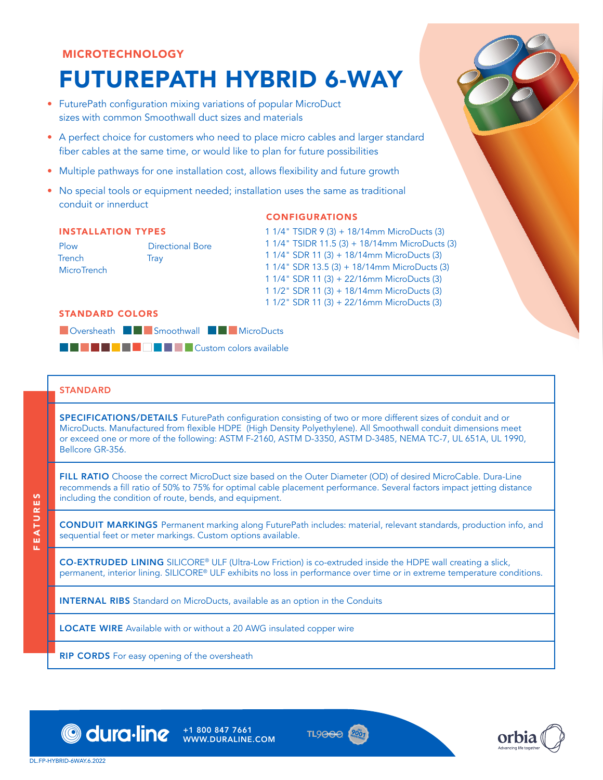## MICROTECHNOLOGY

# FUTUREPATH HYBRID 6-WAY

- FuturePath configuration mixing variations of popular MicroDuct sizes with common Smoothwall duct sizes and materials
- A perfect choice for customers who need to place micro cables and larger standard fiber cables at the same time, or would like to plan for future possibilities
- Multiple pathways for one installation cost, allows flexibility and future growth
- No special tools or equipment needed; installation uses the same as traditional conduit or innerduct

### CONFIGURATIONS

#### INSTALLATION TYPES

Plow Trench **MicroTrench** Directional Bore **Trav** 

1 1/4" TSIDR 9 (3) + 18/14mm MicroDucts (3) 1 1/4" TSIDR 11.5 (3) + 18/14mm MicroDucts (3) 1 1/4" SDR 11 (3) + 18/14mm MicroDucts (3) 1 1/4" SDR 13.5 (3) + 18/14mm MicroDucts (3) 1 1/4" SDR 11 (3) + 22/16mm MicroDucts (3) 1 1/2" SDR 11 (3) + 18/14mm MicroDucts (3) 1 1/2" SDR 11 (3) + 22/16mm MicroDucts (3)

#### STANDARD COLORS



## **STANDARD**

SPECIFICATIONS/DETAILS FuturePath configuration consisting of two or more different sizes of conduit and or MicroDucts. Manufactured from flexible HDPE (High Density Polyethylene). All Smoothwall conduit dimensions meet or exceed one or more of the following: ASTM F-2160, ASTM D-3350, ASTM D-3485, NEMA TC-7, UL 651A, UL 1990, Bellcore GR-356.

FILL RATIO Choose the correct MicroDuct size based on the Outer Diameter (OD) of desired MicroCable. Dura-Line recommends a fill ratio of 50% to 75% for optimal cable placement performance. Several factors impact jetting distance including the condition of route, bends, and equipment.

CONDUIT MARKINGS Permanent marking along FuturePath includes: material, relevant standards, production info, and sequential feet or meter markings. Custom options available.

CO-EXTRUDED LINING SILICORE® ULF (Ultra-Low Friction) is co-extruded inside the HDPE wall creating a slick, permanent, interior lining. SILICORE® ULF exhibits no loss in performance over time or in extreme temperature conditions.

TL9<del>OOO</del>

INTERNAL RIBS Standard on MicroDucts, available as an option in the Conduits

+1 800 847 7661 WWW.DURALINE.COM

LOCATE WIRE Available with or without a 20 AWG insulated copper wire

RIP CORDS For easy opening of the oversheath



orbia